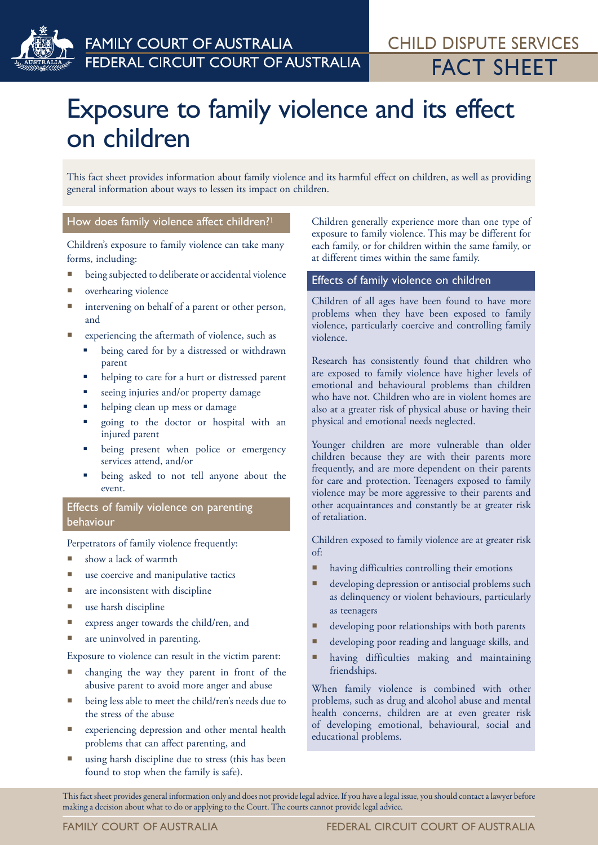

# Exposure to family violence and its effect on children

This fact sheet provides information about family violence and its harmful effect on children, as well as providing general information about ways to lessen its impact on children.

# How does family violence affect children?<sup>1</sup>

Children's exposure to family violence can take many forms, including:

- being subjected to deliberate or accidental violence
- overhearing violence
- intervening on behalf of a parent or other person, and
- experiencing the aftermath of violence, such as
	- being cared for by a distressed or withdrawn parent
	- helping to care for a hurt or distressed parent
	- seeing injuries and/or property damage
	- helping clean up mess or damage
	- going to the doctor or hospital with an injured parent
	- being present when police or emergency services attend, and/or
	- being asked to not tell anyone about the event.

# Effects of family violence on parenting behaviour

Perpetrators of family violence frequently:

- show a lack of warmth
- use coercive and manipulative tactics
- are inconsistent with discipline
- use harsh discipline
- express anger towards the child/ren, and
- **a** are uninvolved in parenting.

Exposure to violence can result in the victim parent:

- changing the way they parent in front of the abusive parent to avoid more anger and abuse
- being less able to meet the child/ren's needs due to the stress of the abuse
- experiencing depression and other mental health problems that can affect parenting, and
- using harsh discipline due to stress (this has been found to stop when the family is safe).

Children generally experience more than one type of exposure to family violence. This may be different for each family, or for children within the same family, or at different times within the same family.

# Effects of family violence on children

Children of all ages have been found to have more problems when they have been exposed to family violence, particularly coercive and controlling family violence.

Research has consistently found that children who are exposed to family violence have higher levels of emotional and behavioural problems than children who have not. Children who are in violent homes are also at a greater risk of physical abuse or having their physical and emotional needs neglected.

Younger children are more vulnerable than older children because they are with their parents more frequently, and are more dependent on their parents for care and protection. Teenagers exposed to family violence may be more aggressive to their parents and other acquaintances and constantly be at greater risk of retaliation.

Children exposed to family violence are at greater risk of:

- having difficulties controlling their emotions
- **developing depression or antisocial problems such** as delinquency or violent behaviours, particularly as teenagers
- **developing poor relationships with both parents**
- developing poor reading and language skills, and
- having difficulties making and maintaining friendships.

When family violence is combined with other problems, such as drug and alcohol abuse and mental health concerns, children are at even greater risk of developing emotional, behavioural, social and educational problems.

This fact sheet provides general information only and does not provide legal advice. If you have a legal issue, you should contact a lawyer before making a decision about what to do or applying to the Court. The courts cannot provide legal advice.